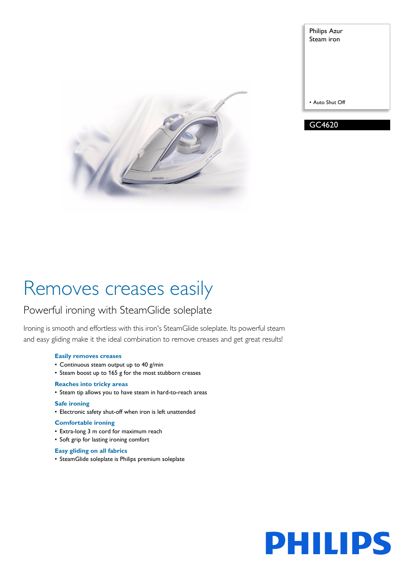

Philips Azur Steam iron • Auto Shut Off GC4620

# Removes creases easily

# Powerful ironing with SteamGlide soleplate

Ironing is smooth and effortless with this iron's SteamGlide soleplate. Its powerful steam and easy gliding make it the ideal combination to remove creases and get great results!

## **Easily removes creases**

- Continuous steam output up to 40 g/min
- Steam boost up to 165 g for the most stubborn creases

# **Reaches into tricky areas**

• Steam tip allows you to have steam in hard-to-reach areas

## **Safe ironing**

• Electronic safety shut-off when iron is left unattended

## **Comfortable ironing**

- Extra-long 3 m cord for maximum reach
- Soft grip for lasting ironing comfort

## **Easy gliding on all fabrics**

• SteamGlide soleplate is Philips premium soleplate